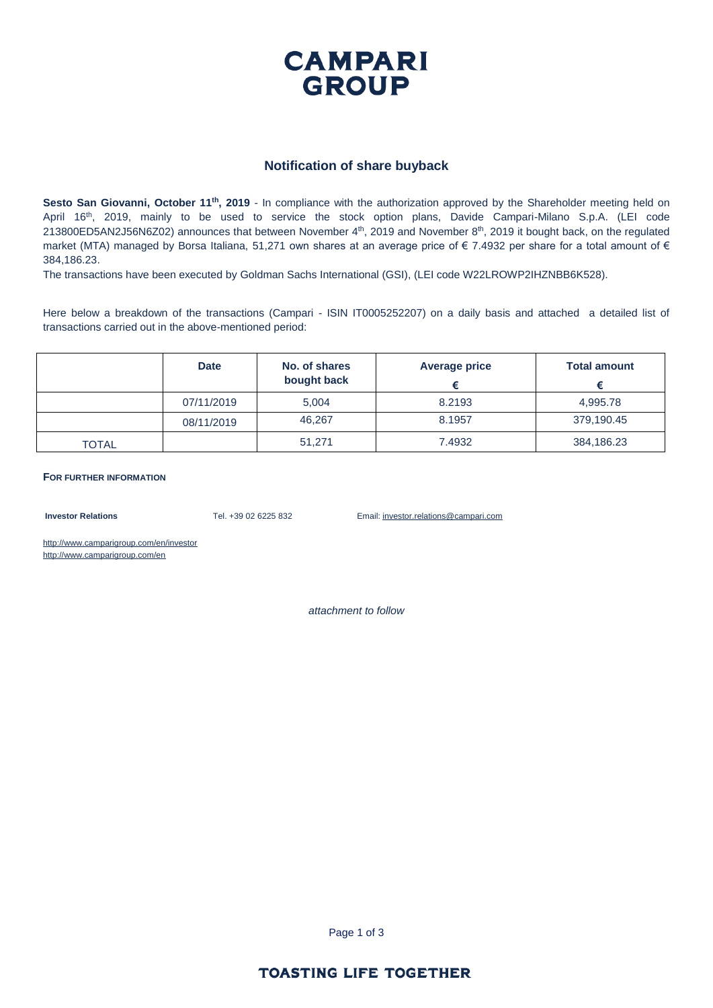

#### **Notification of share buyback**

**Sesto San Giovanni, October 11th, 2019** - In compliance with the authorization approved by the Shareholder meeting held on April 16th, 2019, mainly to be used to service the stock option plans, Davide Campari-Milano S.p.A. (LEI code 213800ED5AN2J56N6Z02) announces that between November  $4<sup>th</sup>$ , 2019 and November  $8<sup>th</sup>$ , 2019 it bought back, on the regulated market (MTA) managed by Borsa Italiana, 51,271 own shares at an average price of  $\epsilon$  7.4932 per share for a total amount of  $\epsilon$ 384,186.23.

The transactions have been executed by Goldman Sachs International (GSI), (LEI code W22LROWP2IHZNBB6K528).

Here below a breakdown of the transactions (Campari - ISIN IT0005252207) on a daily basis and attached a detailed list of transactions carried out in the above-mentioned period:

|              | <b>Date</b> | No. of shares<br>bought back | <b>Average price</b> | <b>Total amount</b> |
|--------------|-------------|------------------------------|----------------------|---------------------|
|              | 07/11/2019  | 5,004                        | 8.2193               | 4,995.78            |
|              | 08/11/2019  | 46.267                       | 8.1957               | 379,190.45          |
| <b>TOTAL</b> |             | 51,271                       | 7.4932               | 384,186.23          |

**FOR FURTHER INFORMATION**

**Investor Relations** Tel. +39 02 6225 832 Email: investor.relations@campari.com

http://www.camparigroup.com/en/investor http://www.camparigroup.com/en

*attachment to follow*

Page 1 of 3

#### **TOASTING LIFE TOGETHER**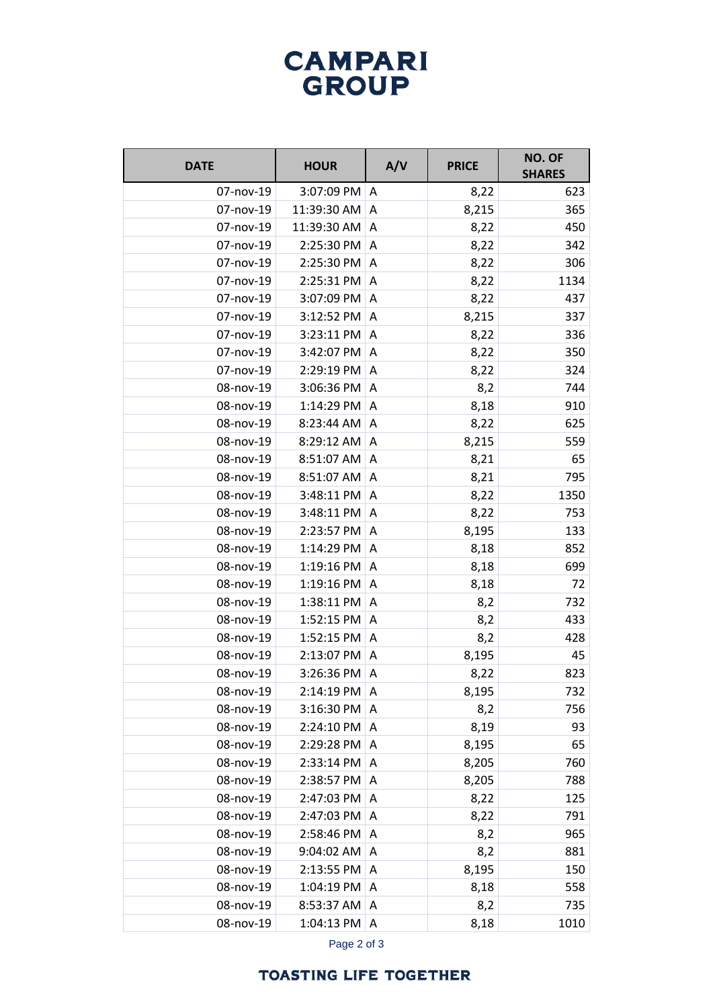# **CAMPARI** GROUP

| <b>DATE</b> | <b>HOUR</b>  | A/V            | <b>PRICE</b> | NO. OF<br><b>SHARES</b> |
|-------------|--------------|----------------|--------------|-------------------------|
| 07-nov-19   | 3:07:09 PM   | A              | 8,22         | 623                     |
| 07-nov-19   | 11:39:30 AM  | Α              | 8,215        | 365                     |
| 07-nov-19   | 11:39:30 AM  | A              | 8,22         | 450                     |
| 07-nov-19   | 2:25:30 PM   | Α              | 8,22         | 342                     |
| 07-nov-19   | 2:25:30 PM   | A              | 8,22         | 306                     |
| 07-nov-19   | 2:25:31 PM   | Α              | 8,22         | 1134                    |
| 07-nov-19   | 3:07:09 PM   | A              | 8,22         | 437                     |
| 07-nov-19   | 3:12:52 PM   | A              | 8,215        | 337                     |
| 07-nov-19   | 3:23:11 PM   | A              | 8,22         | 336                     |
| 07-nov-19   | 3:42:07 PM   | A              | 8,22         | 350                     |
| 07-nov-19   | 2:29:19 PM   | A              | 8,22         | 324                     |
| 08-nov-19   | 3:06:36 PM   | A              | 8,2          | 744                     |
| 08-nov-19   | 1:14:29 PM   | A              | 8,18         | 910                     |
| 08-nov-19   | 8:23:44 AM   | A              | 8,22         | 625                     |
| 08-nov-19   | 8:29:12 AM   | $\overline{A}$ | 8,215        | 559                     |
| 08-nov-19   | 8:51:07 AM   | A              | 8,21         | 65                      |
| 08-nov-19   | 8:51:07 AM   | A              | 8,21         | 795                     |
| 08-nov-19   | 3:48:11 PM   | A              | 8,22         | 1350                    |
| 08-nov-19   | 3:48:11 PM   | A              | 8,22         | 753                     |
| 08-nov-19   | 2:23:57 PM   | A              | 8,195        | 133                     |
| 08-nov-19   | 1:14:29 PM   | A              | 8,18         | 852                     |
| 08-nov-19   | 1:19:16 PM   | A              | 8,18         | 699                     |
| 08-nov-19   | 1:19:16 PM   | A              | 8,18         | 72                      |
| 08-nov-19   | 1:38:11 PM   | A              | 8,2          | 732                     |
| 08-nov-19   | 1:52:15 PM   | A              | 8,2          | 433                     |
| 08-nov-19   | 1:52:15 PM   | A              | 8,2          | 428                     |
| 08-nov-19   | 2:13:07 PM   | Α              | 8,195        | 45                      |
| 08-nov-19   | 3:26:36 PM   | Α              | 8,22         | 823                     |
| 08-nov-19   | 2:14:19 PM A |                | 8,195        | 732                     |
| 08-nov-19   | 3:16:30 PM   | A              | 8,2          | 756                     |
| 08-nov-19   | 2:24:10 PM   | Α              | 8,19         | 93                      |
| 08-nov-19   | 2:29:28 PM   | A              | 8,195        | 65                      |
| 08-nov-19   | 2:33:14 PM   | Α              | 8,205        | 760                     |
| 08-nov-19   | 2:38:57 PM   | A              | 8,205        | 788                     |
| 08-nov-19   | 2:47:03 PM   | A              | 8,22         | 125                     |
| 08-nov-19   | 2:47:03 PM   | A              | 8,22         | 791                     |
| 08-nov-19   | 2:58:46 PM   | A              | 8,2          | 965                     |
| 08-nov-19   | 9:04:02 AM   | A              | 8,2          | 881                     |
| 08-nov-19   | 2:13:55 PM   | A              | 8,195        | 150                     |
| 08-nov-19   | 1:04:19 PM   | A              | 8,18         | 558                     |
| 08-nov-19   | 8:53:37 AM   | A              | 8,2          | 735                     |
| 08-nov-19   | 1:04:13 PM   | Α              | 8,18         | 1010                    |

Page 2 of 3

### **TOASTING LIFE TOGETHER**